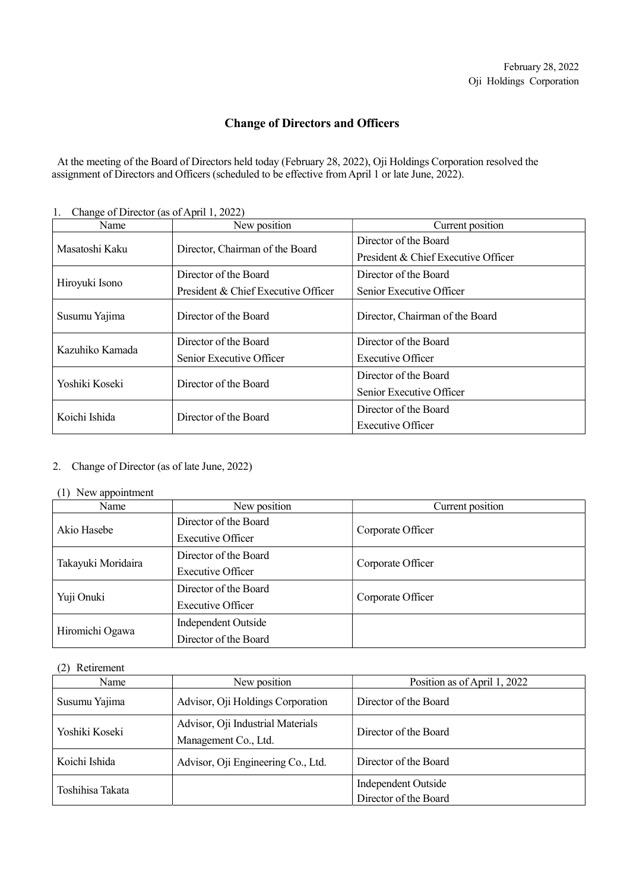# Change of Directors and Officers

 At the meeting of the Board of Directors held today (February 28, 2022), Oji Holdings Corporation resolved the assignment of Directors and Officers (scheduled to be effective from April 1 or late June, 2022).

| Change of Director (as of April 1, 2022) |                                     |                                     |
|------------------------------------------|-------------------------------------|-------------------------------------|
| Name                                     | New position                        | Current position                    |
| Masatoshi Kaku                           | Director, Chairman of the Board     | Director of the Board               |
|                                          |                                     | President & Chief Executive Officer |
| Hiroyuki Isono                           | Director of the Board               | Director of the Board               |
|                                          | President & Chief Executive Officer | Senior Executive Officer            |
| Susumu Yajima                            | Director of the Board               | Director, Chairman of the Board     |
| Kazuhiko Kamada                          | Director of the Board               | Director of the Board               |
|                                          | Senior Executive Officer            | Executive Officer                   |
| Yoshiki Koseki                           | Director of the Board               | Director of the Board               |
|                                          |                                     | Senior Executive Officer            |
| Koichi Ishida                            | Director of the Board               | Director of the Board               |
|                                          |                                     | Executive Officer                   |

1. Change of Director (as of April 1, 2022)

## 2. Change of Director (as of late June, 2022)

#### (1) New appointment

| $\sqrt{2}$<br>Name | New position             | Current position  |
|--------------------|--------------------------|-------------------|
| Akio Hasebe        | Director of the Board    | Corporate Officer |
|                    | Executive Officer        |                   |
| Takayuki Moridaira | Director of the Board    | Corporate Officer |
|                    | <b>Executive Officer</b> |                   |
| Yuji Onuki         | Director of the Board    | Corporate Officer |
|                    | <b>Executive Officer</b> |                   |
| Hiromichi Ogawa    | Independent Outside      |                   |
|                    | Director of the Board    |                   |

## (2) Retirement

| Name             | New position                                              | Position as of April 1, 2022                 |
|------------------|-----------------------------------------------------------|----------------------------------------------|
| Susumu Yajima    | Advisor, Oji Holdings Corporation                         | Director of the Board                        |
| Yoshiki Koseki   | Advisor, Oji Industrial Materials<br>Management Co., Ltd. | Director of the Board                        |
| Koichi Ishida    | Advisor, Oji Engineering Co., Ltd.                        | Director of the Board                        |
| Toshihisa Takata |                                                           | Independent Outside<br>Director of the Board |